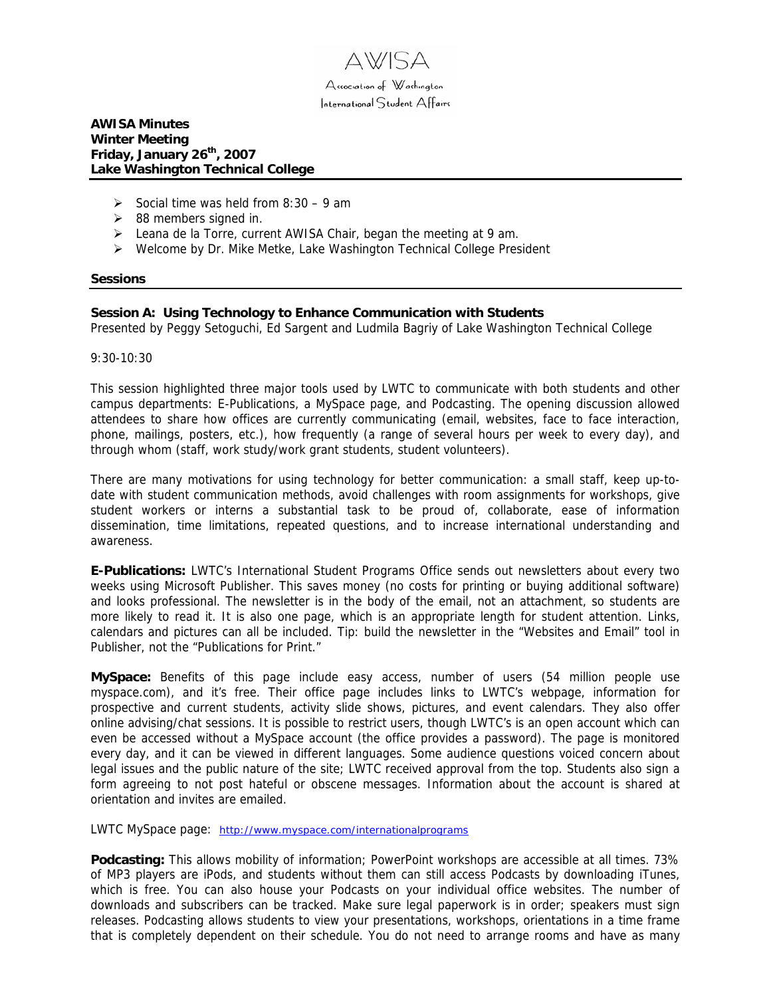

## **AWISA Minutes Winter Meeting Friday, January 26th, 2007 Lake Washington Technical College**

- $\geq$  Social time was held from 8:30 9 am
- $\geq$  88 members signed in.
- $\triangleright$  Leana de la Torre, current AWISA Chair, began the meeting at 9 am.
- ¾ Welcome by Dr. Mike Metke, Lake Washington Technical College President

#### **Sessions**

## **Session A: Using Technology to Enhance Communication with Students**

Presented by Peggy Setoguchi, Ed Sargent and Ludmila Bagriy of Lake Washington Technical College

9:30-10:30

This session highlighted three major tools used by LWTC to communicate with both students and other campus departments: E-Publications, a MySpace page, and Podcasting. The opening discussion allowed attendees to share how offices are currently communicating (email, websites, face to face interaction, phone, mailings, posters, etc.), how frequently (a range of several hours per week to every day), and through whom (staff, work study/work grant students, student volunteers).

There are many motivations for using technology for better communication: a small staff, keep up-todate with student communication methods, avoid challenges with room assignments for workshops, give student workers or interns a substantial task to be proud of, collaborate, ease of information dissemination, time limitations, repeated questions, and to increase international understanding and awareness.

**E-Publications:** LWTC's International Student Programs Office sends out newsletters about every two weeks using Microsoft Publisher. This saves money (no costs for printing or buying additional software) and looks professional. The newsletter is in the body of the email, not an attachment, so students are more likely to read it. It is also one page, which is an appropriate length for student attention. Links, calendars and pictures can all be included. Tip: build the newsletter in the "Websites and Email" tool in Publisher, not the "Publications for Print."

**MySpace:** Benefits of this page include easy access, number of users (54 million people use myspace.com), and it's free. Their office page includes links to LWTC's webpage, information for prospective and current students, activity slide shows, pictures, and event calendars. They also offer online advising/chat sessions. It is possible to restrict users, though LWTC's is an open account which can even be accessed without a MySpace account (the office provides a password). The page is monitored every day, and it can be viewed in different languages. Some audience questions voiced concern about legal issues and the public nature of the site; LWTC received approval from the top. Students also sign a form agreeing to not post hateful or obscene messages. Information about the account is shared at orientation and invites are emailed.

LWTC MySpace page: <http://www.myspace.com/internationalprograms>

**Podcasting:** This allows mobility of information; PowerPoint workshops are accessible at all times. 73% of MP3 players are iPods, and students without them can still access Podcasts by downloading iTunes, which is free. You can also house your Podcasts on your individual office websites. The number of downloads and subscribers can be tracked. Make sure legal paperwork is in order; speakers must sign releases. Podcasting allows students to view your presentations, workshops, orientations in a time frame that is completely dependent on their schedule. You do not need to arrange rooms and have as many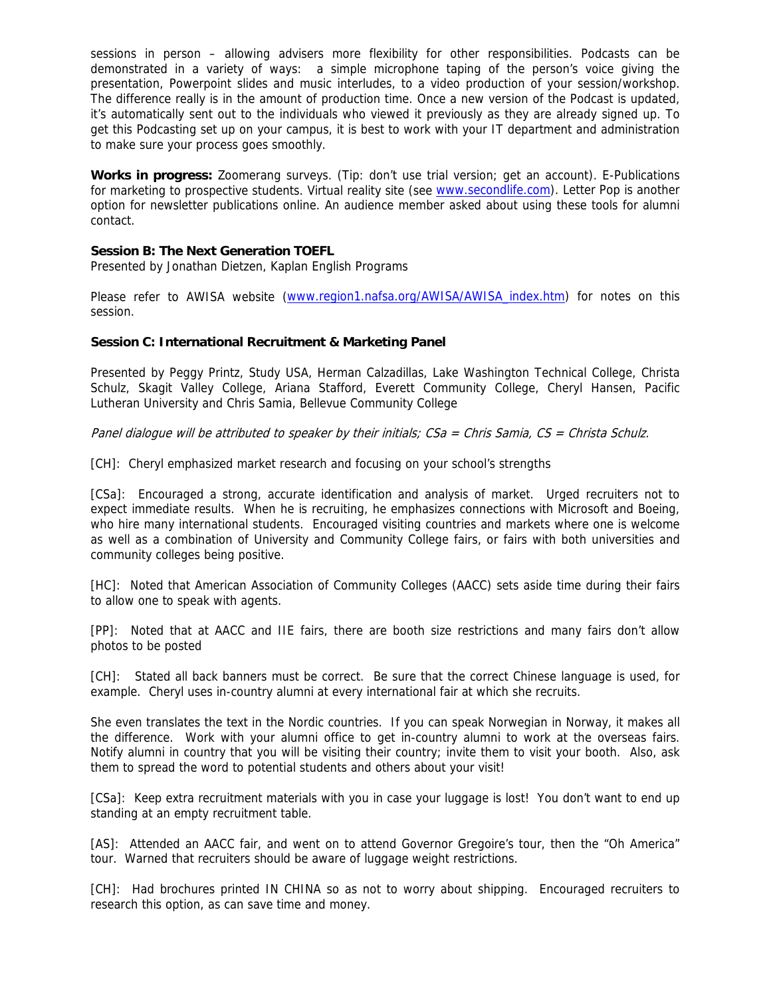sessions in person – allowing advisers more flexibility for other responsibilities. Podcasts can be demonstrated in a variety of ways: a simple microphone taping of the person's voice giving the presentation, Powerpoint slides and music interludes, to a video production of your session/workshop. The difference really is in the amount of production time. Once a new version of the Podcast is updated, it's automatically sent out to the individuals who viewed it previously as they are already signed up. To get this Podcasting set up on your campus, it is best to work with your IT department and administration to make sure your process goes smoothly.

**Works in progress:** Zoomerang surveys. (Tip: don't use trial version; get an account). E-Publications for marketing to prospective students. Virtual reality site (see [www.secondlife.com](http://www.secondlife.com/)). Letter Pop is another option for newsletter publications online. An audience member asked about using these tools for alumni contact.

# **Session B: The Next Generation TOEFL**

Presented by Jonathan Dietzen, Kaplan English Programs

Please refer to AWISA website [\(www.region1.nafsa.org/AWISA/AWISA\\_index.htm\)](http://www.region1.nafsa.org/AWISA/AWISA_index.htm) for notes on this session.

# **Session C: International Recruitment & Marketing Panel**

Presented by Peggy Printz, Study USA, Herman Calzadillas, Lake Washington Technical College, Christa Schulz, Skagit Valley College, Ariana Stafford, Everett Community College, Cheryl Hansen, Pacific Lutheran University and Chris Samia, Bellevue Community College

Panel dialogue will be attributed to speaker by their initials; CSa = Chris Samia, CS = Christa Schulz.

[CH]: Cheryl emphasized market research and focusing on your school's strengths

[CSa]: Encouraged a strong, accurate identification and analysis of market. Urged recruiters not to expect immediate results. When he is recruiting, he emphasizes connections with Microsoft and Boeing, who hire many international students. Encouraged visiting countries and markets where one is welcome as well as a combination of University and Community College fairs, or fairs with both universities and community colleges being positive.

[HC]: Noted that American Association of Community Colleges (AACC) sets aside time during their fairs to allow one to speak with agents.

[PP]: Noted that at AACC and IIE fairs, there are booth size restrictions and many fairs don't allow photos to be posted

[CH]: Stated all back banners must be correct. Be sure that the correct Chinese language is used, for example. Cheryl uses in-country alumni at every international fair at which she recruits.

She even translates the text in the Nordic countries. If you can speak Norwegian in Norway, it makes all the difference. Work with your alumni office to get in-country alumni to work at the overseas fairs. Notify alumni in country that you will be visiting their country; invite them to visit your booth. Also, ask them to spread the word to potential students and others about your visit!

[CSa]: Keep extra recruitment materials with you in case your luggage is lost! You don't want to end up standing at an empty recruitment table.

[AS]: Attended an AACC fair, and went on to attend Governor Gregoire's tour, then the "Oh America" tour. Warned that recruiters should be aware of luggage weight restrictions.

[CH]: Had brochures printed IN CHINA so as not to worry about shipping. Encouraged recruiters to research this option, as can save time and money.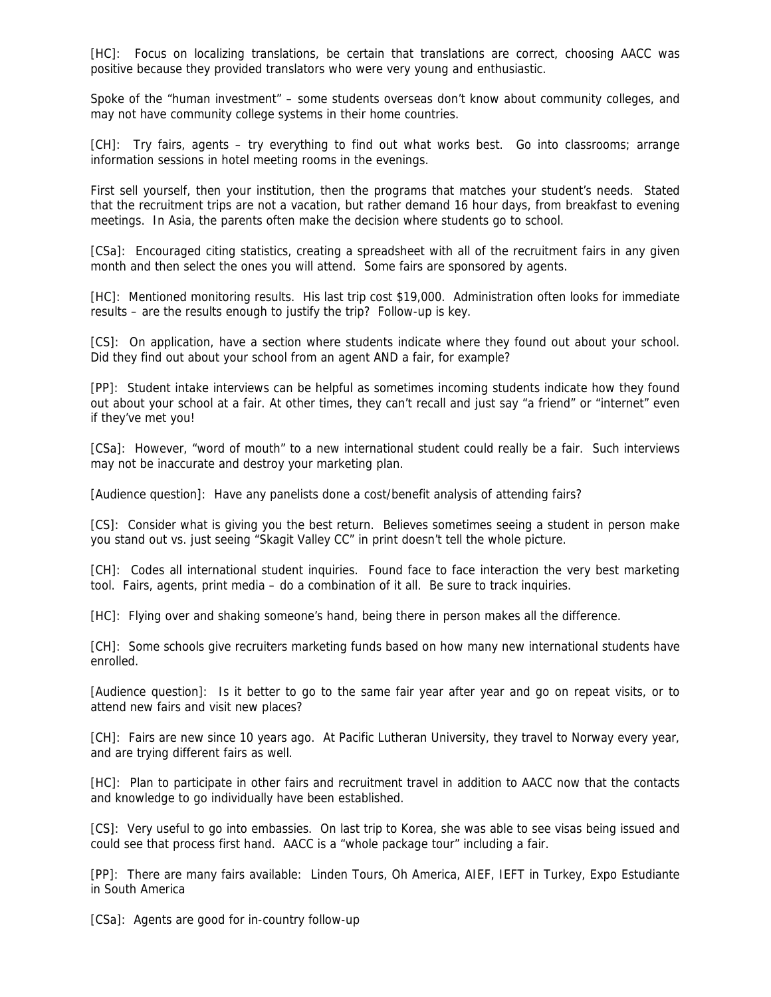[HC]: Focus on localizing translations, be certain that translations are correct, choosing AACC was positive because they provided translators who were very young and enthusiastic.

Spoke of the "human investment" – some students overseas don't know about community colleges, and may not have community college systems in their home countries.

[CH]: Try fairs, agents – try everything to find out what works best. Go into classrooms; arrange information sessions in hotel meeting rooms in the evenings.

First sell yourself, then your institution, then the programs that matches your student's needs. Stated that the recruitment trips are not a vacation, but rather demand 16 hour days, from breakfast to evening meetings. In Asia, the parents often make the decision where students go to school.

[CSa]: Encouraged citing statistics, creating a spreadsheet with all of the recruitment fairs in any given month and then select the ones you will attend. Some fairs are sponsored by agents.

[HC]: Mentioned monitoring results. His last trip cost \$19,000. Administration often looks for immediate results – are the results enough to justify the trip? Follow-up is key.

[CS]: On application, have a section where students indicate where they found out about your school. Did they find out about your school from an agent AND a fair, for example?

[PP]: Student intake interviews can be helpful as sometimes incoming students indicate how they found out about your school at a fair. At other times, they can't recall and just say "a friend" or "internet" even if they've met you!

[CSa]: However, "word of mouth" to a new international student could really be a fair. Such interviews may not be inaccurate and destroy your marketing plan.

[Audience question]: Have any panelists done a cost/benefit analysis of attending fairs?

[CS]: Consider what is giving you the best return. Believes sometimes seeing a student in person make you stand out vs. just seeing "Skagit Valley CC" in print doesn't tell the whole picture.

[CH]: Codes all international student inquiries. Found face to face interaction the very best marketing tool. Fairs, agents, print media – do a combination of it all. Be sure to track inquiries.

[HC]: Flying over and shaking someone's hand, being there in person makes all the difference.

[CH]: Some schools give recruiters marketing funds based on how many new international students have enrolled.

[Audience question]: Is it better to go to the same fair year after year and go on repeat visits, or to attend new fairs and visit new places?

[CH]: Fairs are new since 10 years ago. At Pacific Lutheran University, they travel to Norway every year, and are trying different fairs as well.

[HC]: Plan to participate in other fairs and recruitment travel in addition to AACC now that the contacts and knowledge to go individually have been established.

[CS]: Very useful to go into embassies. On last trip to Korea, she was able to see visas being issued and could see that process first hand. AACC is a "whole package tour" including a fair.

[PP]: There are many fairs available: Linden Tours, Oh America, AIEF, IEFT in Turkey, Expo Estudiante in South America

[CSa]: Agents are good for in-country follow-up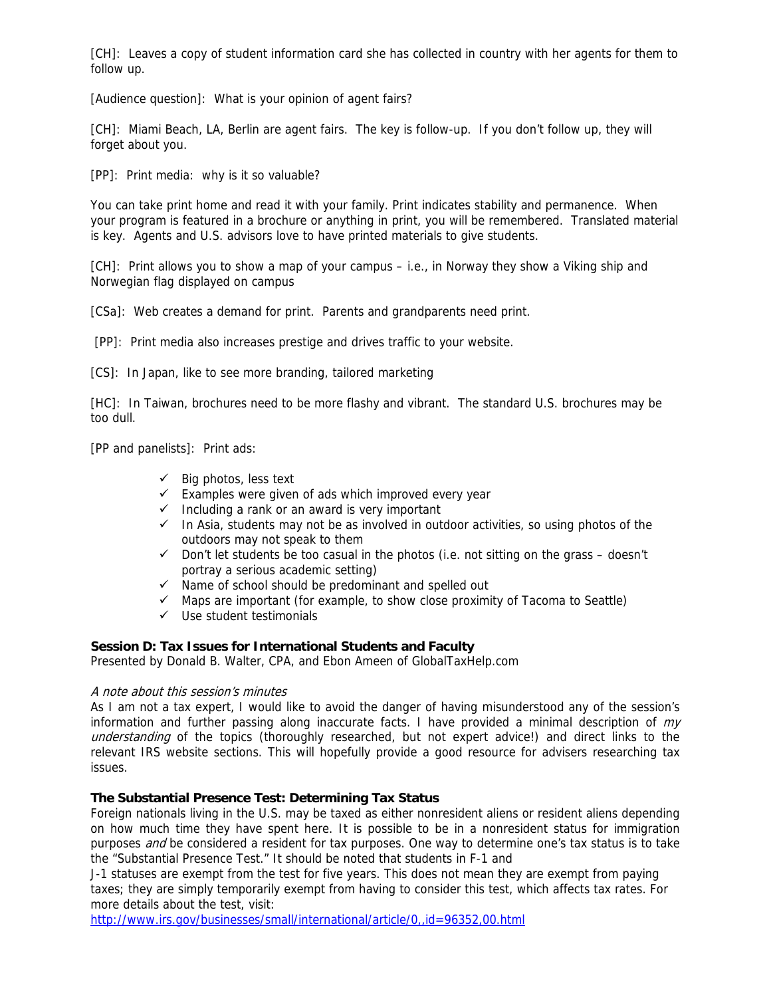[CH]: Leaves a copy of student information card she has collected in country with her agents for them to follow up.

[Audience question]: What is your opinion of agent fairs?

[CH]: Miami Beach, LA, Berlin are agent fairs. The key is follow-up. If you don't follow up, they will forget about you.

[PP]: Print media: why is it so valuable?

You can take print home and read it with your family. Print indicates stability and permanence. When your program is featured in a brochure or anything in print, you will be remembered. Translated material is key. Agents and U.S. advisors love to have printed materials to give students.

[CH]: Print allows you to show a map of your campus – i.e., in Norway they show a Viking ship and Norwegian flag displayed on campus

[CSa]: Web creates a demand for print. Parents and grandparents need print.

[PP]: Print media also increases prestige and drives traffic to your website.

[CS]: In Japan, like to see more branding, tailored marketing

[HC]: In Taiwan, brochures need to be more flashy and vibrant. The standard U.S. brochures may be too dull.

[PP and panelists]: Print ads:

- $\checkmark$  Big photos, less text
- $\checkmark$  Examples were given of ads which improved every year
- $\checkmark$  Including a rank or an award is very important
- $\checkmark$  In Asia, students may not be as involved in outdoor activities, so using photos of the outdoors may not speak to them
- $\checkmark$  Don't let students be too casual in the photos (i.e. not sitting on the grass doesn't portray a serious academic setting)
- $\checkmark$  Name of school should be predominant and spelled out
- $\checkmark$  Maps are important (for example, to show close proximity of Tacoma to Seattle)
- $\checkmark$  Use student testimonials

## **Session D: Tax Issues for International Students and Faculty**

Presented by Donald B. Walter, CPA, and Ebon Ameen of GlobalTaxHelp.com

## A note about this session's minutes

As I am not a tax expert, I would like to avoid the danger of having misunderstood any of the session's information and further passing along inaccurate facts. I have provided a minimal description of  $my$ understanding of the topics (thoroughly researched, but not expert advice!) and direct links to the relevant IRS website sections. This will hopefully provide a good resource for advisers researching tax issues.

## **The Substantial Presence Test: Determining Tax Status**

Foreign nationals living in the U.S. may be taxed as either nonresident aliens or resident aliens depending on how much time they have spent here. It is possible to be in a nonresident status for immigration purposes *and* be considered a resident for tax purposes. One way to determine one's tax status is to take the "Substantial Presence Test." It should be noted that students in F-1 and

J-1 statuses are exempt from the test for five years. This does not mean they are exempt from paying taxes; they are simply temporarily exempt from having to consider this test, which affects tax rates. For more details about the test, visit:

<http://www.irs.gov/businesses/small/international/article/0,,id=96352,00.html>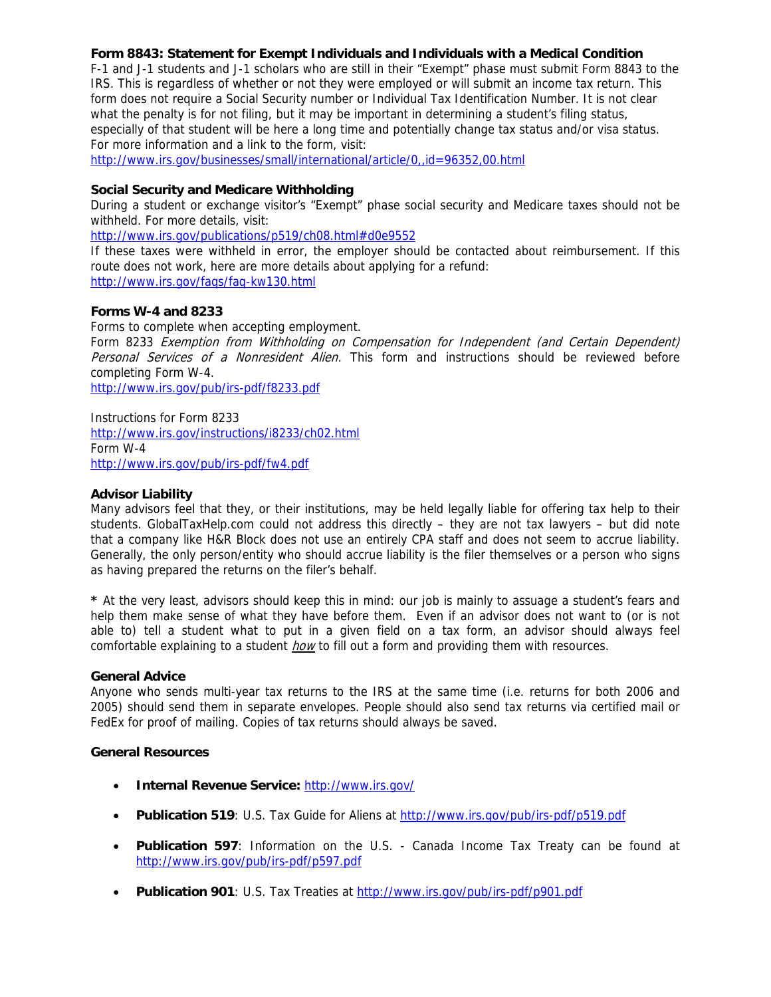# **Form 8843: Statement for Exempt Individuals and Individuals with a Medical Condition**

F-1 and J-1 students and J-1 scholars who are still in their "Exempt" phase must submit Form 8843 to the IRS. This is regardless of whether or not they were employed or will submit an income tax return. This form does not require a Social Security number or Individual Tax Identification Number. It is not clear what the penalty is for not filing, but it may be important in determining a student's filing status, especially of that student will be here a long time and potentially change tax status and/or visa status. For more information and a link to the form, visit:

<http://www.irs.gov/businesses/small/international/article/0,,id=96352,00.html>

# **Social Security and Medicare Withholding**

During a student or exchange visitor's "Exempt" phase social security and Medicare taxes should not be withheld. For more details, visit:

<http://www.irs.gov/publications/p519/ch08.html#d0e9552>

If these taxes were withheld in error, the employer should be contacted about reimbursement. If this route does not work, here are more details about applying for a refund: <http://www.irs.gov/faqs/faq-kw130.html>

# **Forms W-4 and 8233**

Forms to complete when accepting employment.

Form 8233 Exemption from Withholding on Compensation for Independent (and Certain Dependent) Personal Services of a Nonresident Alien. This form and instructions should be reviewed before completing Form W-4.

<http://www.irs.gov/pub/irs-pdf/f8233.pdf>

Instructions for Form 8233 <http://www.irs.gov/instructions/i8233/ch02.html> Form W-4 <http://www.irs.gov/pub/irs-pdf/fw4.pdf>

## **Advisor Liability**

Many advisors feel that they, or their institutions, may be held legally liable for offering tax help to their students. GlobalTaxHelp.com could not address this directly – they are not tax lawyers – but did note that a company like H&R Block does not use an entirely CPA staff and does not seem to accrue liability. Generally, the only person/entity who should accrue liability is the filer themselves or a person who signs as having prepared the returns on the filer's behalf.

**\*** At the very least, advisors should keep this in mind: our job is mainly to assuage a student's fears and help them make sense of what they have before them. Even if an advisor does not want to (or is not able to) tell a student what to put in a given field on a tax form, an advisor should always feel comfortable explaining to a student *how* to fill out a form and providing them with resources.

## **General Advice**

Anyone who sends multi-year tax returns to the IRS at the same time (i.e. returns for both 2006 and 2005) should send them in separate envelopes. People should also send tax returns via certified mail or FedEx for proof of mailing. Copies of tax returns should always be saved.

## **General Resources**

- **Internal Revenue Service:** <http://www.irs.gov/>
- **Publication 519**: U.S. Tax Guide for Aliens at<http://www.irs.gov/pub/irs-pdf/p519.pdf>
- **Publication 597**: Information on the U.S. Canada Income Tax Treaty can be found at <http://www.irs.gov/pub/irs-pdf/p597.pdf>
- **Publication 901**: U.S. Tax Treaties at <http://www.irs.gov/pub/irs-pdf/p901.pdf>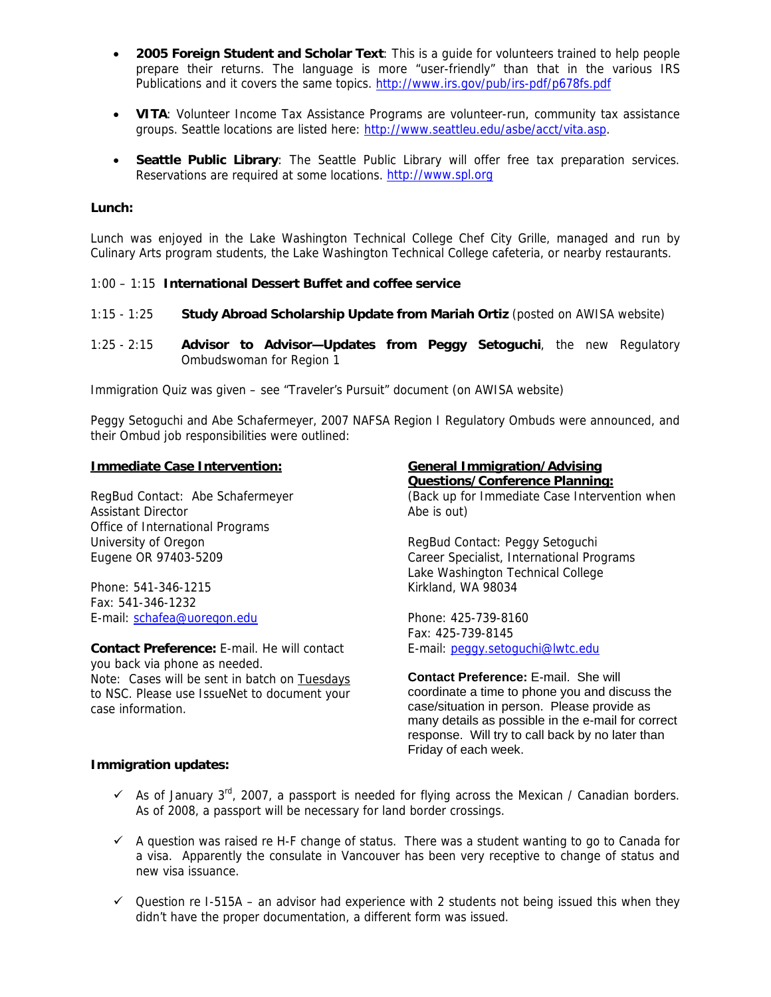- **2005 Foreign Student and Scholar Text**: This is a guide for volunteers trained to help people prepare their returns. The language is more "user-friendly" than that in the various IRS Publications and it covers the same topics. <http://www.irs.gov/pub/irs-pdf/p678fs.pdf>
- **VITA**: Volunteer Income Tax Assistance Programs are volunteer-run, community tax assistance groups. Seattle locations are listed here: [http://www.seattleu.edu/asbe/acct/vita.asp.](http://www.seattleu.edu/asbe/acct/vita.asp)
- **Seattle Public Library**: The Seattle Public Library will offer free tax preparation services. Reservations are required at some locations. [http://www.spl.org](http://www.spl.org/)

## **Lunch:**

Lunch was enjoyed in the Lake Washington Technical College Chef City Grille, managed and run by Culinary Arts program students, the Lake Washington Technical College cafeteria, or nearby restaurants.

# 1:00 – 1:15 **International Dessert Buffet and coffee service**

- 1:15 1:25 **Study Abroad Scholarship Update from Mariah Ortiz** (posted on AWISA website)
- 1:25 2:15 **Advisor to Advisor—Updates from Peggy Setoguchi**, the new Regulatory Ombudswoman for Region 1

Immigration Quiz was given – see "Traveler's Pursuit" document (on AWISA website)

Peggy Setoguchi and Abe Schafermeyer, 2007 NAFSA Region I Regulatory Ombuds were announced, and their Ombud job responsibilities were outlined:

#### **Immediate Case Intervention:**

RegBud Contact: Abe Schafermeyer Assistant Director Office of International Programs University of Oregon Eugene OR 97403-5209

Phone: 541-346-1215 Fax: 541-346-1232 E-mail: [schafea@uoregon.edu](mailto:schafea@uoregon.edu)

**Contact Preference:** E-mail. He will contact you back via phone as needed. Note: Cases will be sent in batch on Tuesdays to NSC. Please use IssueNet to document your case information.

#### **General Immigration/Advising**

**Questions/Conference Planning:**  (Back up for Immediate Case Intervention when Abe is out)

RegBud Contact: Peggy Setoguchi Career Specialist, International Programs Lake Washington Technical College Kirkland, WA 98034

Phone: 425-739-8160 Fax: 425-739-8145 E-mail: [peggy.setoguchi@lwtc.edu](mailto:peggy.setoguchi@lwtc.edu)

**Contact Preference:** E-mail. She will coordinate a time to phone you and discuss the case/situation in person. Please provide as many details as possible in the e-mail for correct response. Will try to call back by no later than Friday of each week.

## **Immigration updates:**

- $\checkmark$  As of January 3<sup>rd</sup>, 2007, a passport is needed for flying across the Mexican / Canadian borders. As of 2008, a passport will be necessary for land border crossings.
- $\checkmark$  A question was raised re H-F change of status. There was a student wanting to go to Canada for a visa. Apparently the consulate in Vancouver has been very receptive to change of status and new visa issuance.
- $\checkmark$  Question re I-515A an advisor had experience with 2 students not being issued this when they didn't have the proper documentation, a different form was issued.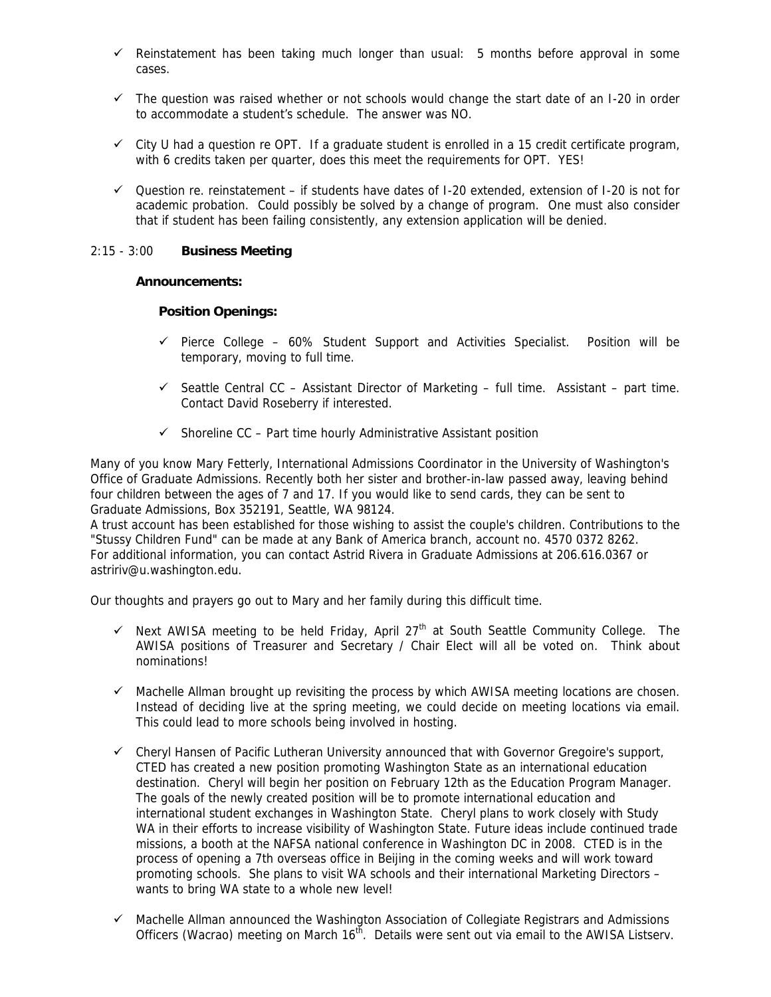- $\checkmark$  Reinstatement has been taking much longer than usual: 5 months before approval in some cases.
- $\checkmark$  The question was raised whether or not schools would change the start date of an I-20 in order to accommodate a student's schedule. The answer was NO.
- $\checkmark$  City U had a question re OPT. If a graduate student is enrolled in a 15 credit certificate program, with 6 credits taken per quarter, does this meet the requirements for OPT. YES!
- $\checkmark$  Ouestion re. reinstatement if students have dates of I-20 extended, extension of I-20 is not for academic probation. Could possibly be solved by a change of program. One must also consider that if student has been failing consistently, any extension application will be denied.

# 2:15 - 3:00 **Business Meeting**

# **Announcements:**

# **Position Openings:**

- $\checkmark$  Pierce College 60% Student Support and Activities Specialist. Position will be temporary, moving to full time.
- $\checkmark$  Seattle Central CC Assistant Director of Marketing full time. Assistant part time. Contact David Roseberry if interested.
- $\checkmark$  Shoreline CC Part time hourly Administrative Assistant position

Many of you know Mary Fetterly, International Admissions Coordinator in the University of Washington's Office of Graduate Admissions. Recently both her sister and brother-in-law passed away, leaving behind four children between the ages of 7 and 17. If you would like to send cards, they can be sent to Graduate Admissions, Box 352191, Seattle, WA 98124.

A trust account has been established for those wishing to assist the couple's children. Contributions to the "Stussy Children Fund" can be made at any Bank of America branch, account no. 4570 0372 8262. For additional information, you can contact Astrid Rivera in Graduate Admissions at 206.616.0367 or astririv@u.washington.edu.

Our thoughts and prayers go out to Mary and her family during this difficult time.

- $\checkmark$  Next AWISA meeting to be held Friday, April 27<sup>th</sup> at South Seattle Community College. The AWISA positions of Treasurer and Secretary / Chair Elect will all be voted on. Think about nominations!
- $\checkmark$  Machelle Allman brought up revisiting the process by which AWISA meeting locations are chosen. Instead of deciding live at the spring meeting, we could decide on meeting locations via email. This could lead to more schools being involved in hosting.
- $\checkmark$  Cheryl Hansen of Pacific Lutheran University announced that with Governor Gregoire's support, CTED has created a new position promoting Washington State as an international education destination. Cheryl will begin her position on February 12th as the Education Program Manager. The goals of the newly created position will be to promote international education and international student exchanges in Washington State. Cheryl plans to work closely with Study WA in their efforts to increase visibility of Washington State. Future ideas include continued trade missions, a booth at the NAFSA national conference in Washington DC in 2008. CTED is in the process of opening a 7th overseas office in Beijing in the coming weeks and will work toward promoting schools. She plans to visit WA schools and their international Marketing Directors – wants to bring WA state to a whole new level!
- $\checkmark$  Machelle Allman announced the Washington Association of Collegiate Registrars and Admissions Officers (Wacrao) meeting on March 16<sup>th</sup>. Details were sent out via email to the AWISA Listserv.